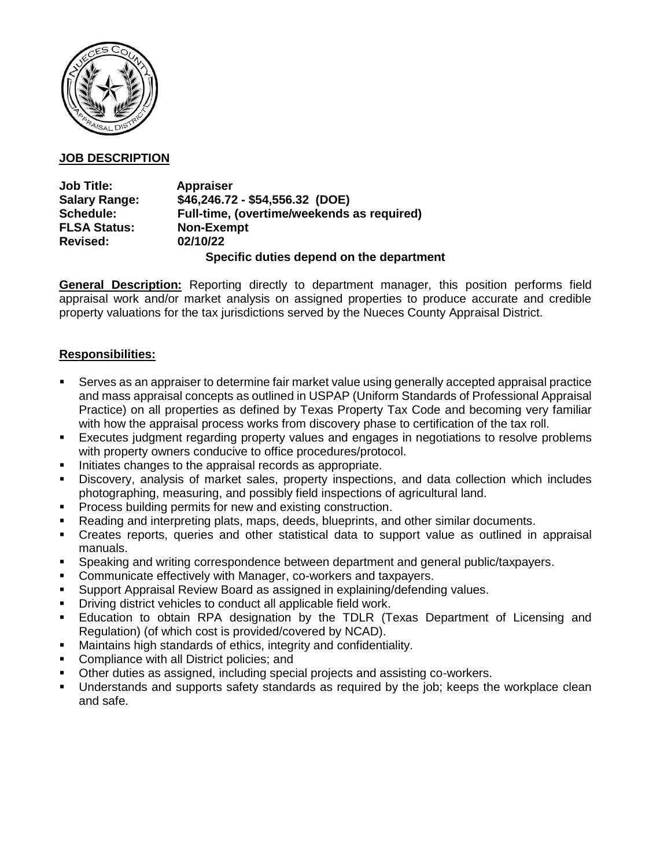

# **JOB DESCRIPTION**

| <b>Job Title:</b>    | <b>Appraiser</b>                           |
|----------------------|--------------------------------------------|
| <b>Salary Range:</b> | \$46,246.72 - \$54,556.32 (DOE)            |
| Schedule:            | Full-time, (overtime/weekends as required) |
| <b>FLSA Status:</b>  | <b>Non-Exempt</b>                          |
| <b>Revised:</b>      | 02/10/22                                   |
|                      |                                            |

**Specific duties depend on the department**

**General Description:** Reporting directly to department manager, this position performs field appraisal work and/or market analysis on assigned properties to produce accurate and credible property valuations for the tax jurisdictions served by the Nueces County Appraisal District.

# **Responsibilities:**

- Serves as an appraiser to determine fair market value using generally accepted appraisal practice and mass appraisal concepts as outlined in USPAP (Uniform Standards of Professional Appraisal Practice) on all properties as defined by Texas Property Tax Code and becoming very familiar with how the appraisal process works from discovery phase to certification of the tax roll.
- Executes judgment regarding property values and engages in negotiations to resolve problems with property owners conducive to office procedures/protocol.
- Initiates changes to the appraisal records as appropriate.
- Discovery, analysis of market sales, property inspections, and data collection which includes photographing, measuring, and possibly field inspections of agricultural land.
- Process building permits for new and existing construction.
- Reading and interpreting plats, maps, deeds, blueprints, and other similar documents.
- Creates reports, queries and other statistical data to support value as outlined in appraisal manuals.
- Speaking and writing correspondence between department and general public/taxpayers.
- Communicate effectively with Manager, co-workers and taxpayers.
- Support Appraisal Review Board as assigned in explaining/defending values.
- **Driving district vehicles to conduct all applicable field work.**
- Education to obtain RPA designation by the TDLR (Texas Department of Licensing and Regulation) (of which cost is provided/covered by NCAD).
- Maintains high standards of ethics, integrity and confidentiality.
- Compliance with all District policies; and
- Other duties as assigned, including special projects and assisting co-workers.
- Understands and supports safety standards as required by the job; keeps the workplace clean and safe.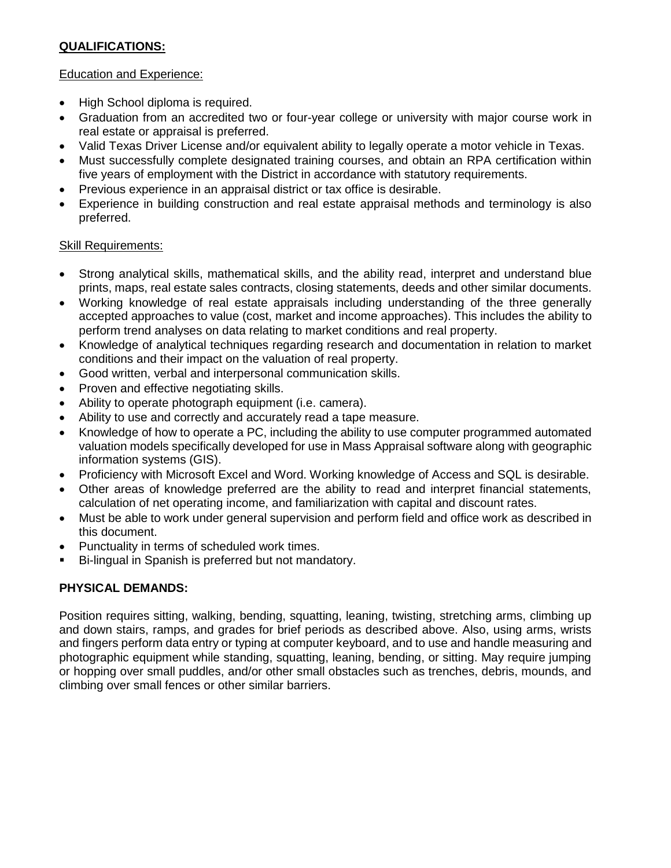# **QUALIFICATIONS:**

#### Education and Experience:

- High School diploma is required.
- Graduation from an accredited two or four-year college or university with major course work in real estate or appraisal is preferred.
- Valid Texas Driver License and/or equivalent ability to legally operate a motor vehicle in Texas.
- Must successfully complete designated training courses, and obtain an RPA certification within five years of employment with the District in accordance with statutory requirements.
- Previous experience in an appraisal district or tax office is desirable.
- Experience in building construction and real estate appraisal methods and terminology is also preferred.

## Skill Requirements:

- Strong analytical skills, mathematical skills, and the ability read, interpret and understand blue prints, maps, real estate sales contracts, closing statements, deeds and other similar documents.
- Working knowledge of real estate appraisals including understanding of the three generally accepted approaches to value (cost, market and income approaches). This includes the ability to perform trend analyses on data relating to market conditions and real property.
- Knowledge of analytical techniques regarding research and documentation in relation to market conditions and their impact on the valuation of real property.
- Good written, verbal and interpersonal communication skills.
- Proven and effective negotiating skills.
- Ability to operate photograph equipment (i.e. camera).
- Ability to use and correctly and accurately read a tape measure.
- Knowledge of how to operate a PC, including the ability to use computer programmed automated valuation models specifically developed for use in Mass Appraisal software along with geographic information systems (GIS).
- Proficiency with Microsoft Excel and Word. Working knowledge of Access and SQL is desirable.
- Other areas of knowledge preferred are the ability to read and interpret financial statements, calculation of net operating income, and familiarization with capital and discount rates.
- Must be able to work under general supervision and perform field and office work as described in this document.
- Punctuality in terms of scheduled work times.
- Bi-lingual in Spanish is preferred but not mandatory.

## **PHYSICAL DEMANDS:**

Position requires sitting, walking, bending, squatting, leaning, twisting, stretching arms, climbing up and down stairs, ramps, and grades for brief periods as described above. Also, using arms, wrists and fingers perform data entry or typing at computer keyboard, and to use and handle measuring and photographic equipment while standing, squatting, leaning, bending, or sitting. May require jumping or hopping over small puddles, and/or other small obstacles such as trenches, debris, mounds, and climbing over small fences or other similar barriers.